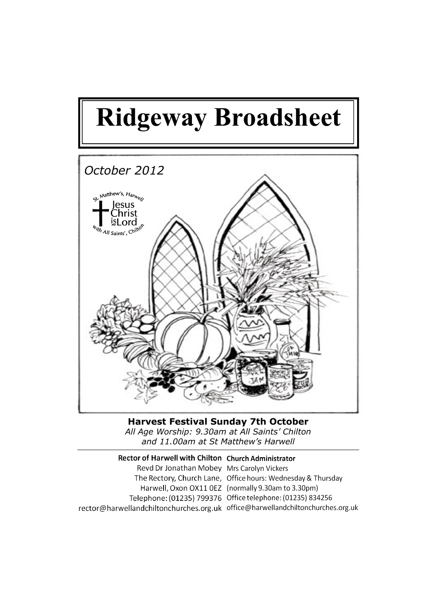

**Harvest Festival Sunday 7th October**  *All Age Worship: 9.30am at All Saints' Chilton and 11.00am at St Matthew's Harwell*

Rector of Harwell with Chilton Church Administrator Revd Dr Jonathan Mobey Mrs Carolyn Vickers The Rectory, Church Lane, Office hours: Wednesday & Thursday Harwell, Oxon OX11 0EZ (normally 9.30am to 3.30pm) Telephone: (01235) 799376 Office telephone: (01235) 834256 rector@harwellandchiltonchurches.org.uk office@harwellandchiltonchurches.org.uk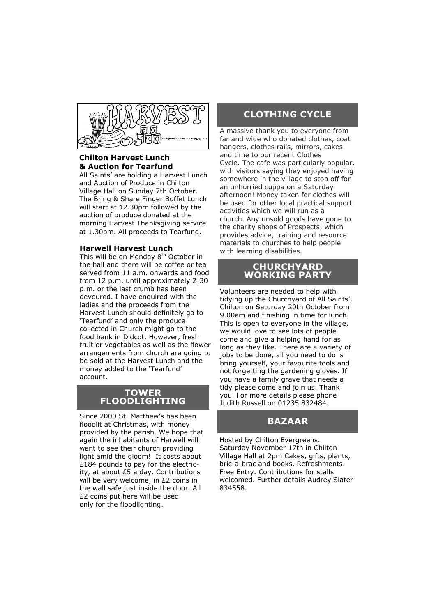

### **Chilton Harvest Lunch & Auction for Tearfund**

All Saints' are holding a Harvest Lunch and Auction of Produce in Chilton Village Hall on Sunday 7th October. The Bring & Share Finger Buffet Lunch will start at 12.30pm followed by the auction of produce donated at the morning Harvest Thanksgiving service at 1.30pm. All proceeds to Tearfund.

#### **Harwell Harvest Lunch**

This will be on Monday 8<sup>th</sup> October in the hall and there will be coffee or tea served from 11 a.m. onwards and food from 12 p.m. until approximately 2:30 p.m. or the last crumb has been devoured. I have enquired with the ladies and the proceeds from the Harvest Lunch should definitely go to 'Tearfund' and only the produce collected in Church might go to the food bank in Didcot. However, fresh fruit or vegetables as well as the flower arrangements from church are going to be sold at the Harvest Lunch and the money added to the 'Tearfund' account.

#### **TOWER FLOODLIGHTING**

Since 2000 St. Matthew's has been floodlit at Christmas, with money provided by the parish. We hope that again the inhabitants of Harwell will want to see their church providing light amid the gloom! It costs about £184 pounds to pay for the electricity, at about £5 a day. Contributions will be very welcome, in £2 coins in the wall safe just inside the door. All £2 coins put here will be used only for the floodlighting.

## **CLOTHING CYCLE**

A massive thank you to everyone from far and wide who donated clothes, coat hangers, clothes rails, mirrors, cakes and time to our recent Clothes Cycle. The cafe was particularly popular, with visitors saying they enjoyed having somewhere in the village to stop off for an unhurried cuppa on a Saturday afternoon! Money taken for clothes will be used for other local practical support activities which we will run as a church. Any unsold goods have gone to the charity shops of Prospects, which provides advice, training and resource materials to churches to help people with learning disabilities.

#### **CHURCHYARD WORKING PARTY**

Volunteers are needed to help with tidying up the Churchyard of All Saints', Chilton on Saturday 20th October from 9.00am and finishing in time for lunch. This is open to everyone in the village, we would love to see lots of people come and give a helping hand for as long as they like. There are a variety of jobs to be done, all you need to do is bring yourself, your favourite tools and not forgetting the gardening gloves. If you have a family grave that needs a tidy please come and join us. Thank you. For more details please phone Judith Russell on 01235 832484.

# **BAZAAR**

Hosted by Chilton Evergreens. Saturday November 17th in Chilton Village Hall at 2pm Cakes, gifts, plants, bric-a-brac and books. Refreshments. Free Entry. Contributions for stalls welcomed. Further details Audrey Slater 834558.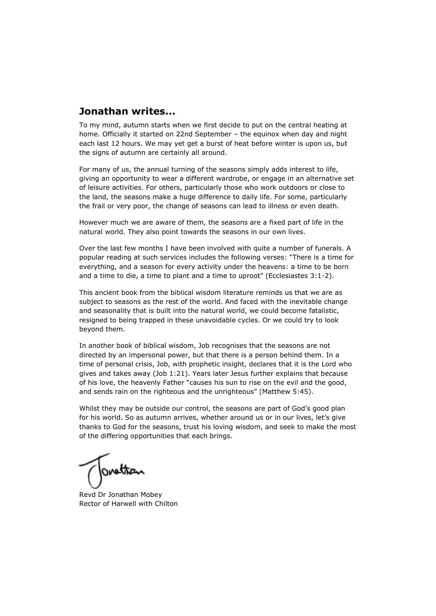# **Jonathan writes...**

To my mind, autumn starts when we first decide to put on the central heating at home. Officially it started on 22nd September – the equinox when day and night each last 12 hours. We may yet get a burst of heat before winter is upon us, but the signs of autumn are certainly all around.

For many of us, the annual turning of the seasons simply adds interest to life, giving an opportunity to wear a different wardrobe, or engage in an alternative set of leisure activities. For others, particularly those who work outdoors or close to the land, the seasons make a huge difference to daily life. For some, particularly the frail or very poor, the change of seasons can lead to illness or even death.

However much we are aware of them, the seasons are a fixed part of life in the natural world. They also point towards the seasons in our own lives.

Over the last few months I have been involved with quite a number of funerals. A popular reading at such services includes the following verses: "There is a time for everything, and a season for every activity under the heavens: a time to be born and a time to die, a time to plant and a time to uproot" (Ecclesiastes 3:1-2).

This ancient book from the biblical wisdom literature reminds us that we are as subject to seasons as the rest of the world. And faced with the inevitable change and seasonality that is built into the natural world, we could become fatalistic, resigned to being trapped in these unavoidable cycles. Or we could try to look beyond them.

In another book of biblical wisdom, Job recognises that the seasons are not directed by an impersonal power, but that there is a person behind them. In a time of personal crisis, Job, with prophetic insight, declares that it is the Lord who gives and takes away (Job 1:21). Years later Jesus further explains that because of his love, the heavenly Father "causes his sun to rise on the evil and the good, and sends rain on the righteous and the unrighteous" (Matthew 5:45).

Whilst they may be outside our control, the seasons are part of God's good plan for his world. So as autumn arrives, whether around us or in our lives, let's give thanks to God for the seasons, trust his loving wisdom, and seek to make the most of the differing opportunities that each brings.

Tonothan

Revd Dr Jonathan Mobey Rector of Harwell with Chilton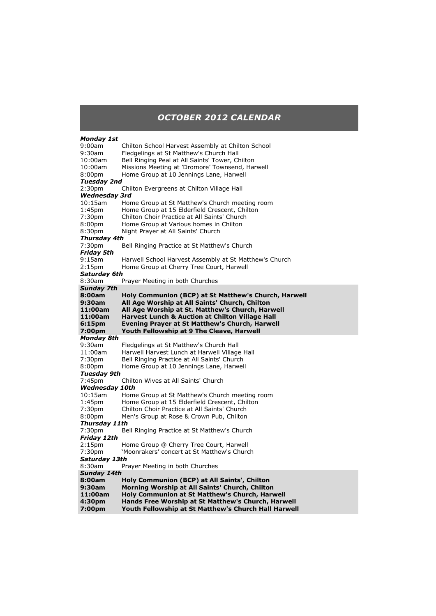### *OCTOBER 2012 CALENDAR*

#### *Monday 1st*  9:00am Chilton School Harvest Assembly at Chilton School 9:30am Fledgelings at St Matthew's Church Hall 10:00am Bell Ringing Peal at All Saints' Tower, Chilton 10:00am Missions Meeting at 'Dromore' Townsend, Harwell 8:00pm Home Group at 10 Jennings Lane, Harwell *Tuesday 2nd* 2:30pm Chilton Evergreens at Chilton Village Hall *Wednesday 3rd* 10:15am Home Group at St Matthew's Church meeting room 1:45pm Home Group at 15 Elderfield Crescent, Chilton 7:30pm Chilton Choir Practice at All Saints' Church 8:00pm Home Group at Various homes in Chilton 8:30pm Night Prayer at All Saints' Church *Thursday 4th* 7:30pm Bell Ringing Practice at St Matthew's Church *Friday 5th* 9:15am Harwell School Harvest Assembly at St Matthew's Church 2:15pm Home Group at Cherry Tree Court, Harwell *Saturday 6th* 8:30am Prayer Meeting in both Churches *Sunday 7th* **8:00am Holy Communion (BCP) at St Matthew's Church, Harwell 9:30am All Age Worship at All Saints' Church, Chilton 11:00am All Age Worship at St. Matthew's Church, Harwell Harvest Lunch & Auction at Chilton Village Hall 6:15pm Evening Prayer at St Matthew's Church, Harwell Youth Fellowship at 9 The Cleave, Harwell** *Monday 8th* 9:30am Fledgelings at St Matthew's Church Hall 11:00am Harwell Harvest Lunch at Harwell Village Hall<br>7:30pm Bell Ringing Practice at All Saints' Church 7:30pm Bell Ringing Practice at All Saints' Church<br>8:00pm Home Group at 10 Jennings Lane, Harwel Home Group at 10 Jennings Lane, Harwell *Tuesday 9th* 7:45pm Chilton Wives at All Saints' Church **Wednesday 10th**<br>10:15am Hom Home Group at St Matthew's Church meeting room 1:45pm Home Group at 15 Elderfield Crescent, Chilton 7:30pm Chilton Choir Practice at All Saints' Church 8:00pm Men's Group at Rose & Crown Pub, Chilton *Thursday 11th* 7:30pm Bell Ringing Practice at St Matthew's Church *Friday 12th* 2:15pm Home Group @ Cherry Tree Court, Harwell 7:30pm 'Moonrakers' concert at St Matthew's Church *Saturday 13th* 8:30am Prayer Meeting in both Churches *Sunday 14th* **8:00am Holy Communion (BCP) at All Saints', Chilton 9:30am Morning Worship at All Saints' Church, Chilton 11:00am Holy Communion at St Matthew's Church, Harwell 4:30pm Hands Free Worship at St Matthew's Church, Harwell 7:00pm Youth Fellowship at St Matthew's Church Hall Harwell**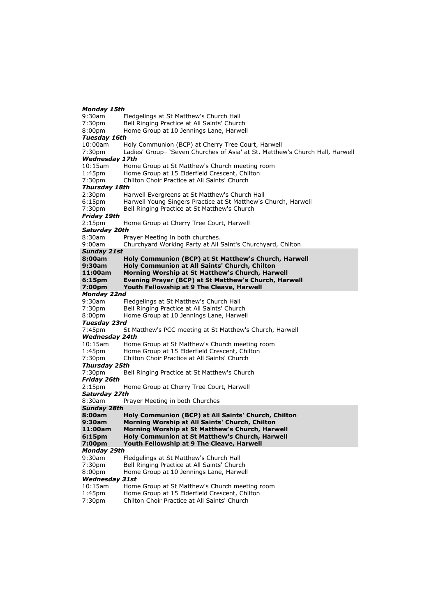#### *Monday 15th*

9:30am Fledgelings at St Matthew's Church Hall<br>7:30pm Bell Ringing Practice at All Saints' Churc Bell Ringing Practice at All Saints' Church 8:00pm Home Group at 10 Jennings Lane, Harwell *Tuesday 16th* 10:00am Holy Communion (BCP) at Cherry Tree Court, Harwell 7:30pm Ladies' Group– 'Seven Churches of Asia' at St. Matthew's Church Hall, Harwell *Wednesday 17th* 10:15am Home Group at St Matthew's Church meeting room 1:45pm Home Group at 15 Elderfield Crescent, Chilton 7:30pm Chilton Choir Practice at All Saints' Church *Thursday 18th* 2:30pm Harwell Evergreens at St Matthew's Church Hall 6:15pm Harwell Young Singers Practice at St Matthew's Church, Harwell 7:30pm Bell Ringing Practice at St Matthew's Church *Friday 19th* 2:15pm Home Group at Cherry Tree Court, Harwell *Saturday 20th* 8:30am Prayer Meeting in both churches. 9:00am Churchyard Working Party at All Saint's Churchyard, Chilton *Sunday 21st* **8:00am Holy Communion (BCP) at St Matthew's Church, Harwell 9:30am Holy Communion at All Saints' Church, Chilton 11:00am Morning Worship at St Matthew's Church, Harwell 6:15pm Evening Prayer (BCP) at St Matthew's Church, Harwell 7:00pm Youth Fellowship at 9 The Cleave, Harwell** *Monday 22nd* 9:30am Fledgelings at St Matthew's Church Hall Bell Ringing Practice at All Saints' Church 8:00pm Home Group at 10 Jennings Lane, Harwell *Tuesday 23rd* 7:45pm St Matthew's PCC meeting at St Matthew's Church, Harwell *Wednesday 24th* 10:15am Home Group at St Matthew's Church meeting room<br>1:45pm Home Group at 15 Elderfield Crescent, Chilton Home Group at 15 Elderfield Crescent, Chilton 7:30pm Chilton Choir Practice at All Saints' Church *Thursday 25th* 7:30pm Bell Ringing Practice at St Matthew's Church *Friday 26th* 2:15pm Home Group at Cherry Tree Court, Harwell *Saturday 27th* 8:30am Prayer Meeting in both Churches *Sunday 28th* **8:00am Holy Communion (BCP) at All Saints' Church, Chilton 9:30am Morning Worship at All Saints' Church, Chilton 11:00am Morning Worship at St Matthew's Church, Harwell 6:15pm Holy Communion at St Matthew's Church, Harwell 7:00pm Youth Fellowship at 9 The Cleave, Harwell** *Monday 29th* 9:30am Fledgelings at St Matthew's Church Hall 7:30pm Bell Ringing Practice at All Saints' Church 8:00pm Home Group at 10 Jennings Lane, Harwell *Wednesday 31st* 10:15am Home Group at St Matthew's Church meeting room 1:45pm Home Group at 15 Elderfield Crescent, Chilton

7:30pm Chilton Choir Practice at All Saints' Church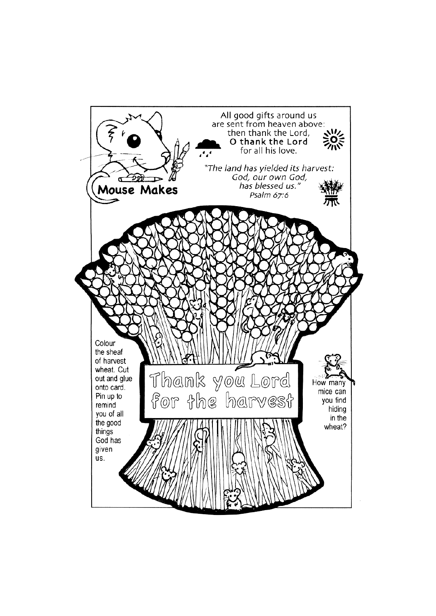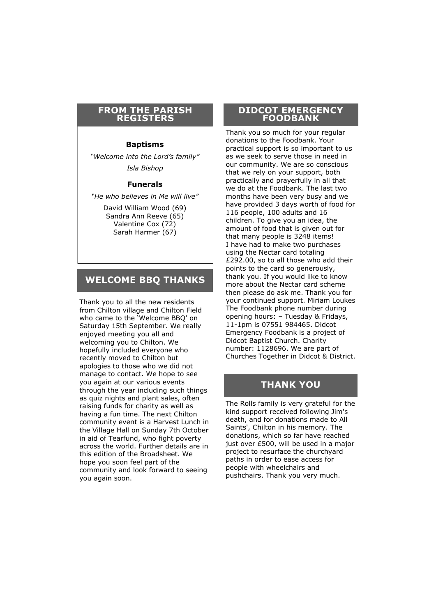#### **FROM THE PARISH REGISTERS**

#### **Baptisms**

*"Welcome into the Lord's family" Isla Bishop*

#### **Funerals**

*"He who believes in Me will live"*

David William Wood (69) Sandra Ann Reeve (65) Valentine Cox (72) Sarah Harmer (67)

### **WELCOME BBQ THANKS**

Thank you to all the new residents from Chilton village and Chilton Field who came to the 'Welcome BBQ' on Saturday 15th September. We really enjoyed meeting you all and welcoming you to Chilton. We hopefully included everyone who recently moved to Chilton but apologies to those who we did not manage to contact. We hope to see you again at our various events through the year including such things as quiz nights and plant sales, often raising funds for charity as well as having a fun time. The next Chilton community event is a Harvest Lunch in the Village Hall on Sunday 7th October in aid of Tearfund, who fight poverty across the world. Further details are in this edition of the Broadsheet. We hope you soon feel part of the community and look forward to seeing you again soon.

#### **DIDCOT EMERGENCY FOODBANK**

Thank you so much for your regular donations to the Foodbank. Your practical support is so important to us as we seek to serve those in need in our community. We are so conscious that we rely on your support, both practically and prayerfully in all that we do at the Foodbank. The last two months have been very busy and we have provided 3 days worth of food for 116 people, 100 adults and 16 children. To give you an idea, the amount of food that is given out for that many people is 3248 items! I have had to make two purchases using the Nectar card totaling £292.00, so to all those who add their points to the card so generously, thank you. If you would like to know more about the Nectar card scheme then please do ask me. Thank you for your continued support. Miriam Loukes The Foodbank phone number during opening hours: – Tuesday & Fridays, 11-1pm is 07551 984465. Didcot Emergency Foodbank is a project of Didcot Baptist Church. Charity number: 1128696. We are part of Churches Together in Didcot & District.

# **THANK YOU**

The Rolls family is very grateful for the kind support received following Jim's death, and for donations made to All Saints', Chilton in his memory. The donations, which so far have reached just over £500, will be used in a major project to resurface the churchyard paths in order to ease access for people with wheelchairs and pushchairs. Thank you very much.